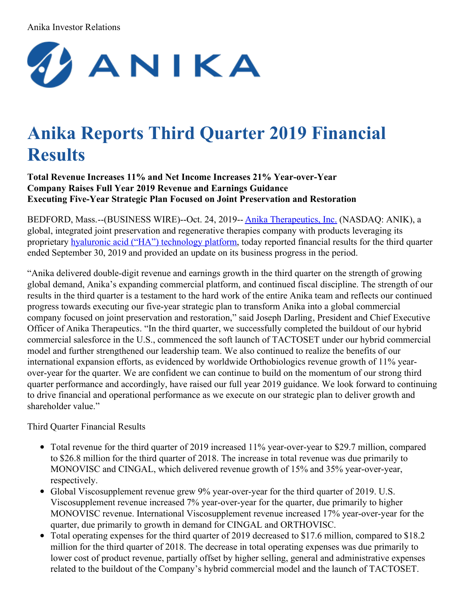## Anika Investor Relations



# **Anika Reports Third Quarter 2019 Financial Results**

**Total Revenue Increases 11% and Net Income Increases 21% Year-over-Year Company Raises Full Year 2019 Revenue and Earnings Guidance Executing Five-Year Strategic Plan Focused on Joint Preservation and Restoration**

BEDFORD, Mass.--(BUSINESS WIRE)--Oct. 24, 2019-- Anika [Therapeutics,](https://cts.businesswire.com/ct/CT?id=smartlink&url=https%3A%2F%2Fwww.anikatherapeutics.com%2F&esheet=52117164&newsitemid=20191024005823&lan=en-US&anchor=Anika+Therapeutics%2C+Inc.&index=1&md5=b82c74181aee5da1f825f08b93f09858) Inc. (NASDAQ: ANIK), a global, integrated joint preservation and regenerative therapies company with products leveraging its proprietary hyaluronic acid ("HA") [technology](https://cts.businesswire.com/ct/CT?id=smartlink&url=https%3A%2F%2Fwww.anikatherapeutics.com%2Ftechnology%2Fha-biology%2F&esheet=52117164&newsitemid=20191024005823&lan=en-US&anchor=hyaluronic+acid+%28%26%238220%3BHA%26%238221%3B%29+technology+platform&index=2&md5=508d06dcac13bff65023a985f37db878) platform, today reported financial results for the third quarter ended September 30, 2019 and provided an update on its business progress in the period.

"Anika delivered double-digit revenue and earnings growth in the third quarter on the strength of growing global demand, Anika's expanding commercial platform, and continued fiscal discipline. The strength of our results in the third quarter is a testament to the hard work of the entire Anika team and reflects our continued progress towards executing our five-year strategic plan to transform Anika into a global commercial company focused on joint preservation and restoration," said Joseph Darling, President and Chief Executive Officer of Anika Therapeutics. "In the third quarter, we successfully completed the buildout of our hybrid commercial salesforce in the U.S., commenced the soft launch of TACTOSET under our hybrid commercial model and further strengthened our leadership team. We also continued to realize the benefits of our international expansion efforts, as evidenced by worldwide Orthobiologics revenue growth of 11% yearover-year for the quarter. We are confident we can continue to build on the momentum of our strong third quarter performance and accordingly, have raised our full year 2019 guidance. We look forward to continuing to drive financial and operational performance as we execute on our strategic plan to deliver growth and shareholder value."

Third Quarter Financial Results

- Total revenue for the third quarter of 2019 increased 11% year-over-year to \$29.7 million, compared to \$26.8 million for the third quarter of 2018. The increase in total revenue was due primarily to MONOVISC and CINGAL, which delivered revenue growth of 15% and 35% year-over-year, respectively.
- Global Viscosupplement revenue grew 9% year-over-year for the third quarter of 2019. U.S. Viscosupplement revenue increased 7% year-over-year for the quarter, due primarily to higher MONOVISC revenue. International Viscosupplement revenue increased 17% year-over-year for the quarter, due primarily to growth in demand for CINGAL and ORTHOVISC.
- Total operating expenses for the third quarter of 2019 decreased to \$17.6 million, compared to \$18.2 million for the third quarter of 2018. The decrease in total operating expenses was due primarily to lower cost of product revenue, partially offset by higher selling, general and administrative expenses related to the buildout of the Company's hybrid commercial model and the launch of TACTOSET.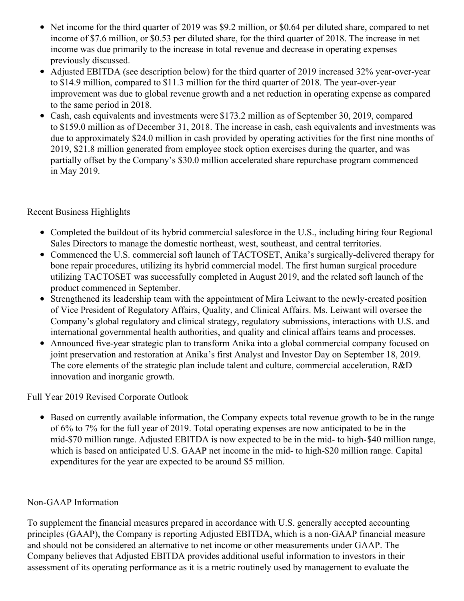- Net income for the third quarter of 2019 was \$9.2 million, or \$0.64 per diluted share, compared to net income of \$7.6 million, or \$0.53 per diluted share, for the third quarter of 2018. The increase in net income was due primarily to the increase in total revenue and decrease in operating expenses previously discussed.
- Adjusted EBITDA (see description below) for the third quarter of 2019 increased 32% year-over-year  $\bullet$ to \$14.9 million, compared to \$11.3 million for the third quarter of 2018. The year-over-year improvement was due to global revenue growth and a net reduction in operating expense as compared to the same period in 2018.
- Cash, cash equivalents and investments were \$173.2 million as of September 30, 2019, compared to \$159.0 million as of December 31, 2018. The increase in cash, cash equivalents and investments was due to approximately \$24.0 million in cash provided by operating activities for the first nine months of 2019, \$21.8 million generated from employee stock option exercises during the quarter, and was partially offset by the Company's \$30.0 million accelerated share repurchase program commenced in May 2019.

## Recent Business Highlights

- Completed the buildout of its hybrid commercial salesforce in the U.S., including hiring four Regional Sales Directors to manage the domestic northeast, west, southeast, and central territories.
- Commenced the U.S. commercial soft launch of TACTOSET, Anika's surgically-delivered therapy for bone repair procedures, utilizing its hybrid commercial model. The first human surgical procedure utilizing TACTOSET was successfully completed in August 2019, and the related soft launch of the product commenced in September.
- Strengthened its leadership team with the appointment of Mira Leiwant to the newly-created position of Vice President of Regulatory Affairs, Quality, and Clinical Affairs. Ms. Leiwant will oversee the Company's global regulatory and clinical strategy, regulatory submissions, interactions with U.S. and international governmental health authorities, and quality and clinical affairs teams and processes.
- Announced five-year strategic plan to transform Anika into a global commercial company focused on joint preservation and restoration at Anika's first Analyst and Investor Day on September 18, 2019. The core elements of the strategic plan include talent and culture, commercial acceleration, R&D innovation and inorganic growth.

## Full Year 2019 Revised Corporate Outlook

Based on currently available information, the Company expects total revenue growth to be in the range of 6% to 7% for the full year of 2019. Total operating expenses are now anticipated to be in the mid-\$70 million range. Adjusted EBITDA is now expected to be in the mid- to high-\$40 million range, which is based on anticipated U.S. GAAP net income in the mid- to high-\$20 million range. Capital expenditures for the year are expected to be around \$5 million.

## Non-GAAP Information

To supplement the financial measures prepared in accordance with U.S. generally accepted accounting principles (GAAP), the Company is reporting Adjusted EBITDA, which is a non-GAAP financial measure and should not be considered an alternative to net income or other measurements under GAAP. The Company believes that Adjusted EBITDA provides additional useful information to investors in their assessment of its operating performance as it is a metric routinely used by management to evaluate the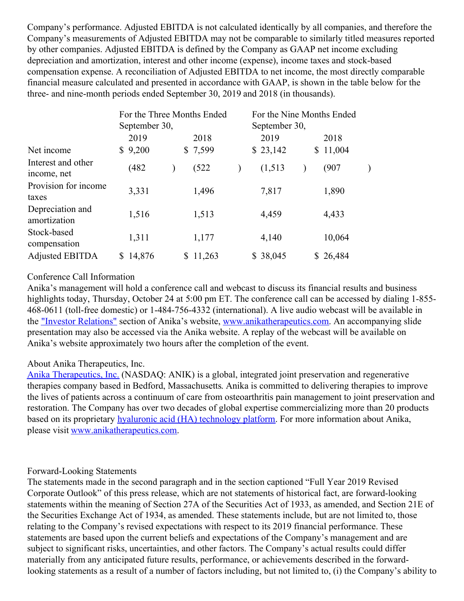Company's performance. Adjusted EBITDA is not calculated identically by all companies, and therefore the Company's measurements of Adjusted EBITDA may not be comparable to similarly titled measures reported by other companies. Adjusted EBITDA is defined by the Company as GAAP net income excluding depreciation and amortization, interest and other income (expense), income taxes and stock-based compensation expense. A reconciliation of Adjusted EBITDA to net income, the most directly comparable financial measure calculated and presented in accordance with GAAP, is shown in the table below for the three- and nine-month periods ended September 30, 2019 and 2018 (in thousands).

|                                   | September 30, | For the Three Months Ended | September 30, | For the Nine Months Ended |
|-----------------------------------|---------------|----------------------------|---------------|---------------------------|
|                                   | 2019          | 2018                       | 2019          | 2018                      |
| Net income                        | 9,200<br>S.   | \$7,599                    | \$23,142      | 11,004<br>\$              |
| Interest and other<br>income, net | (482)         | (522)                      | (1,513)       | (907                      |
| Provision for income<br>taxes     | 3,331         | 1,496                      | 7,817         | 1,890                     |
| Depreciation and<br>amortization  | 1,516         | 1,513                      | 4,459         | 4,433                     |
| Stock-based<br>compensation       | 1,311         | 1,177                      | 4,140         | 10,064                    |
| <b>Adjusted EBITDA</b>            | 14,876<br>S   | 11,263<br>S.               | \$38,045      | \$26,484                  |

## Conference Call Information

Anika's management will hold a conference call and webcast to discuss its financial results and business highlights today, Thursday, October 24 at 5:00 pm ET. The conference call can be accessed by dialing 1-855-468-0611 (toll-free domestic) or 1-484-756-4332 (international). A live audio webcast will be available in the "Investor [Relations"](https://cts.businesswire.com/ct/CT?id=smartlink&url=https%3A%2F%2Fir.anikatherapeutics.com%2Fevents.cfm&esheet=52117164&newsitemid=20191024005823&lan=en-US&anchor=%26quot%3BInvestor+Relations%26quot%3B&index=3&md5=34d74d017e2a7642b616b7d51e9db5ed) section of Anika's website, [www.anikatherapeutics.com](https://cts.businesswire.com/ct/CT?id=smartlink&url=https%3A%2F%2Fwww.anikatherapeutics.com%2Findex.html&esheet=52117164&newsitemid=20191024005823&lan=en-US&anchor=www.anikatherapeutics.com&index=4&md5=d9af0dfb3e4fbdca23fd782336901e51). An accompanying slide presentation may also be accessed via the Anika website. A replay of the webcast will be available on Anika's website approximately two hours after the completion of the event.

## About Anika Therapeutics, Inc.

Anika [Therapeutics,](https://cts.businesswire.com/ct/CT?id=smartlink&url=https%3A%2F%2Fwww.anikatherapeutics.com%2F&esheet=52117164&newsitemid=20191024005823&lan=en-US&anchor=Anika+Therapeutics%2C+Inc.&index=5&md5=39b203caf707a208778b71c02ab3ce5b) Inc. (NASDAQ: ANIK) is a global, integrated joint preservation and regenerative therapies company based in Bedford, Massachusetts. Anika is committed to delivering therapies to improve the lives of patients across a continuum of care from osteoarthritis pain management to joint preservation and restoration. The Company has over two decades of global expertise commercializing more than 20 products based on its proprietary hyaluronic acid (HA) [technology](https://cts.businesswire.com/ct/CT?id=smartlink&url=https%3A%2F%2Fwww.anikatherapeutics.com%2Ftechnology%2Fha-biology%2F&esheet=52117164&newsitemid=20191024005823&lan=en-US&anchor=hyaluronic+acid+%28HA%29+technology+platform&index=6&md5=ddb9c1e2eef0006a78d860fef02b5572) platform. For more information about Anika, please visit [www.anikatherapeutics.com](https://cts.businesswire.com/ct/CT?id=smartlink&url=https%3A%2F%2Fwww.anikatherapeutics.com%2F&esheet=52117164&newsitemid=20191024005823&lan=en-US&anchor=www.anikatherapeutics.com&index=7&md5=47c69316d19a02bcb9ffeff5c7dcdeb4).

## Forward-Looking Statements

The statements made in the second paragraph and in the section captioned "Full Year 2019 Revised Corporate Outlook" of this press release, which are not statements of historical fact, are forward-looking statements within the meaning of Section 27A of the Securities Act of 1933, as amended, and Section 21E of the Securities Exchange Act of 1934, as amended. These statements include, but are not limited to, those relating to the Company's revised expectations with respect to its 2019 financial performance. These statements are based upon the current beliefs and expectations of the Company's management and are subject to significant risks, uncertainties, and other factors. The Company's actual results could differ materially from any anticipated future results, performance, or achievements described in the forwardlooking statements as a result of a number of factors including, but not limited to, (i) the Company's ability to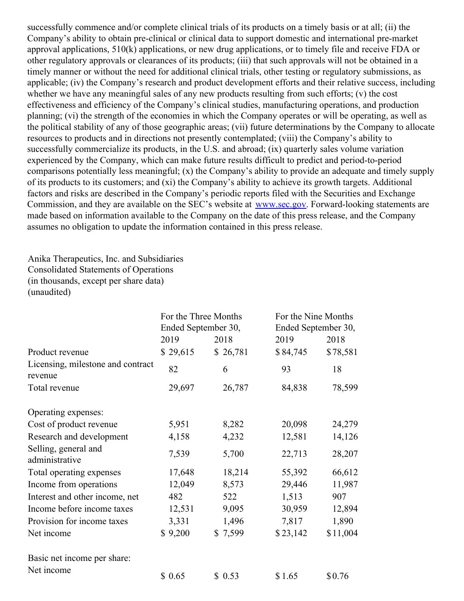successfully commence and/or complete clinical trials of its products on a timely basis or at all; (ii) the Company's ability to obtain pre-clinical or clinical data to support domestic and international pre-market approval applications, 510(k) applications, or new drug applications, or to timely file and receive FDA or other regulatory approvals or clearances of its products; (iii) that such approvals will not be obtained in a timely manner or without the need for additional clinical trials, other testing or regulatory submissions, as applicable; (iv) the Company's research and product development efforts and their relative success, including whether we have any meaningful sales of any new products resulting from such efforts; (v) the cost effectiveness and efficiency of the Company's clinical studies, manufacturing operations, and production planning; (vi) the strength of the economies in which the Company operates or will be operating, as well as the political stability of any of those geographic areas; (vii) future determinations by the Company to allocate resources to products and in directions not presently contemplated; (viii) the Company's ability to successfully commercialize its products, in the U.S. and abroad; (ix) quarterly sales volume variation experienced by the Company, which can make future results difficult to predict and period-to-period comparisons potentially less meaningful; (x) the Company's ability to provide an adequate and timely supply of its products to its customers; and (xi) the Company's ability to achieve its growth targets. Additional factors and risks are described in the Company's periodic reports filed with the Securities and Exchange Commission, and they are available on the SEC's website at [www.sec.gov](https://cts.businesswire.com/ct/CT?id=smartlink&url=http%3A%2F%2Fwww.sec.gov&esheet=52117164&newsitemid=20191024005823&lan=en-US&anchor=www.sec.gov&index=8&md5=0474a0f3ae6d461d3c4da6e575c0a5dc). Forward-looking statements are made based on information available to the Company on the date of this press release, and the Company assumes no obligation to update the information contained in this press release.

Anika Therapeutics, Inc. and Subsidiaries Consolidated Statements of Operations (in thousands, except per share data) (unaudited)

|                                              | For the Three Months<br>Ended September 30, |          | For the Nine Months<br>Ended September 30, |          |  |  |
|----------------------------------------------|---------------------------------------------|----------|--------------------------------------------|----------|--|--|
|                                              | 2019                                        | 2018     | 2019                                       | 2018     |  |  |
| Product revenue                              | \$29,615                                    | \$26,781 | \$84,745                                   | \$78,581 |  |  |
| Licensing, milestone and contract<br>revenue | 82                                          | 6        | 93                                         | 18       |  |  |
| Total revenue                                | 29,697                                      | 26,787   | 84,838                                     | 78,599   |  |  |
| Operating expenses:                          |                                             |          |                                            |          |  |  |
| Cost of product revenue                      | 5,951                                       | 8,282    | 20,098                                     | 24,279   |  |  |
| Research and development                     | 4,158                                       | 4,232    | 12,581                                     | 14,126   |  |  |
| Selling, general and<br>administrative       | 7,539                                       | 5,700    | 22,713                                     | 28,207   |  |  |
| Total operating expenses                     | 17,648                                      | 18,214   | 55,392                                     | 66,612   |  |  |
| Income from operations                       | 12,049                                      | 8,573    | 29,446                                     | 11,987   |  |  |
| Interest and other income, net               | 482                                         | 522      | 1,513                                      | 907      |  |  |
| Income before income taxes                   | 12,531                                      | 9,095    | 30,959                                     | 12,894   |  |  |
| Provision for income taxes                   | 3,331                                       | 1,496    | 7,817                                      | 1,890    |  |  |
| Net income                                   | \$9,200                                     | \$7,599  | \$23,142                                   | \$11,004 |  |  |
| Basic net income per share:                  |                                             |          |                                            |          |  |  |
| Net income                                   | \$0.65                                      | \$0.53   | \$1.65                                     | \$0.76   |  |  |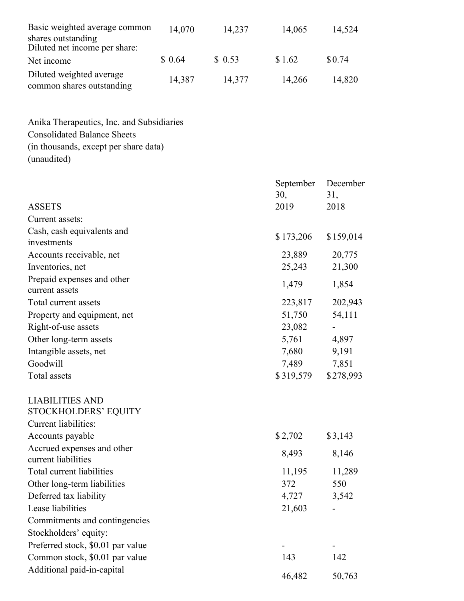| Basic weighted average common                         | 14,070 | 14,237 | 14,065 | 14,524 |
|-------------------------------------------------------|--------|--------|--------|--------|
| shares outstanding                                    |        |        |        |        |
| Diluted net income per share:                         |        |        |        |        |
| Net income                                            | \$0.64 | \$0.53 | \$1.62 | \$0.74 |
| Diluted weighted average<br>common shares outstanding | 14,387 | 14,377 | 14,266 | 14,820 |

Anika Therapeutics, Inc. and Subsidiaries Consolidated Balance Sheets (in thousands, except per share data) (unaudited)

|                                                   | September<br>30, | December<br>31, |
|---------------------------------------------------|------------------|-----------------|
| <b>ASSETS</b>                                     | 2019             | 2018            |
| Current assets:                                   |                  |                 |
| Cash, cash equivalents and<br>investments         | \$173,206        | \$159,014       |
| Accounts receivable, net                          | 23,889           | 20,775          |
| Inventories, net                                  | 25,243           | 21,300          |
| Prepaid expenses and other<br>current assets      | 1,479            | 1,854           |
| Total current assets                              | 223,817          | 202,943         |
| Property and equipment, net                       | 51,750           | 54,111          |
| Right-of-use assets                               | 23,082           |                 |
| Other long-term assets                            | 5,761            | 4,897           |
| Intangible assets, net                            | 7,680            | 9,191           |
| Goodwill                                          | 7,489            | 7,851           |
| Total assets                                      | \$319,579        | \$278,993       |
| <b>LIABILITIES AND</b>                            |                  |                 |
| STOCKHOLDERS' EQUITY                              |                  |                 |
| <b>Current liabilities:</b>                       |                  |                 |
| Accounts payable                                  | \$2,702          | \$3,143         |
| Accrued expenses and other<br>current liabilities | 8,493            | 8,146           |
| Total current liabilities                         | 11,195           | 11,289          |
| Other long-term liabilities                       | 372              | 550             |
| Deferred tax liability                            | 4,727            | 3,542           |
| Lease liabilities                                 | 21,603           |                 |
| Commitments and contingencies                     |                  |                 |
| Stockholders' equity:                             |                  |                 |
| Preferred stock, \$0.01 par value                 |                  |                 |
| Common stock, \$0.01 par value                    | 143              | 142             |
| Additional paid-in-capital                        | 46,482           | 50,763          |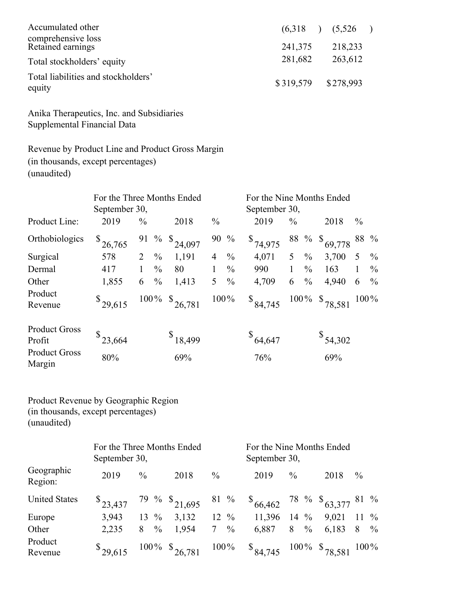| Accumulated other                             |                     | $(6,318)$ $(5,526)$ |  |
|-----------------------------------------------|---------------------|---------------------|--|
| comprehensive loss<br>Retained earnings       | 241,375             | 218,233             |  |
| Total stockholders' equity                    | 281,682             | 263,612             |  |
| Total liabilities and stockholders'<br>equity | \$319,579 \$278,993 |                     |  |

Anika Therapeutics, Inc. and Subsidiaries Supplemental Financial Data

Revenue by Product Line and Product Gross Margin (in thousands, except percentages) (unaudited)

|                                                        | For the Three Months Ended<br>September 30, |               |               |                         |                | September 30, | For the Nine Months Ended |               |               |                     |               |               |
|--------------------------------------------------------|---------------------------------------------|---------------|---------------|-------------------------|----------------|---------------|---------------------------|---------------|---------------|---------------------|---------------|---------------|
| Product Line:                                          | 2019                                        | $\frac{0}{0}$ |               | 2018                    | $\frac{0}{0}$  |               | 2019                      | $\frac{0}{0}$ |               | 2018                | $\frac{0}{0}$ |               |
| Orthobiologics                                         | 26,765                                      |               |               | 91 % $\frac{1}{24,097}$ | 90 %           |               | $\frac{\$}{74,975}$       |               |               | 88 % \$ $69,778$    |               | 88 %          |
| Surgical                                               | 578                                         |               | $\%$          | 1,191                   | $\overline{4}$ | $\frac{0}{0}$ | 4,071                     | 5             | $\%$          | 3,700               | 5             | $\%$          |
| Dermal                                                 | 417                                         |               | $\frac{0}{0}$ | 80                      |                | $\frac{0}{0}$ | 990                       |               | $\frac{0}{0}$ | 163                 | 1             | $\frac{0}{0}$ |
| Other                                                  | 1,855                                       | 6             | $\frac{0}{0}$ | 1,413                   | 5 <sup>5</sup> | $\frac{0}{0}$ | 4,709                     | 6             | $\frac{0}{0}$ | 4,940               | 6             | $\%$          |
| Product<br>Revenue                                     | $\frac{\$}{29,615}$                         |               |               | $100\%$ \$ 26,781       | 100%           |               | $\frac{\$84,745}$         |               |               | $100\%$ \$ 78,581   |               | $100\%$       |
| <b>Product Gross</b><br>Profit<br><b>Product Gross</b> | 23,664                                      |               |               | $\frac{$18,499}$        |                |               | $\frac{$}{64,647}$        |               |               | $\frac{\$}{54,302}$ |               |               |
| Margin                                                 | 80%                                         |               |               | 69%                     |                |               | 76%                       |               |               | 69%                 |               |               |

Product Revenue by Geographic Region (in thousands, except percentages) (unaudited)

|                       | September 30,       |                  | For the Three Months Ended                   |                 | For the Nine Months Ended<br>September 30,             |                 |              |               |  |
|-----------------------|---------------------|------------------|----------------------------------------------|-----------------|--------------------------------------------------------|-----------------|--------------|---------------|--|
| Geographic<br>Region: | 2019                | $\frac{0}{0}$    | 2018                                         | $\frac{0}{0}$   | 2019                                                   | $\frac{0}{0}$   | 2018         | $\frac{0}{0}$ |  |
| <b>United States</b>  |                     |                  | $\frac{\$}{23,437}$ 79 % $\frac{\$}{21,695}$ |                 | 81 % $\frac{1}{66,462}$ 78 % $\frac{1}{63,377}$ 81 %   |                 |              |               |  |
| Europe                | 3,943               | $13 \frac{9}{6}$ | 3,132                                        | 12 $\%$         | 11,396                                                 | 14 $\%$         | $9,021$ 11 % |               |  |
| Other                 | 2,235               | $8 \frac{9}{6}$  | 1,954                                        | $7 \frac{9}{6}$ | 6,887                                                  | $8 \frac{9}{6}$ | 6,183 8 $\%$ |               |  |
| Product<br>Revenue    | $\frac{\$}{29,615}$ |                  | $100\%$ \$ $26,781$ $100\%$                  |                 | $\frac{$84,745}{84,745}$ 100% $\frac{$78,581}{8}$ 100% |                 |              |               |  |